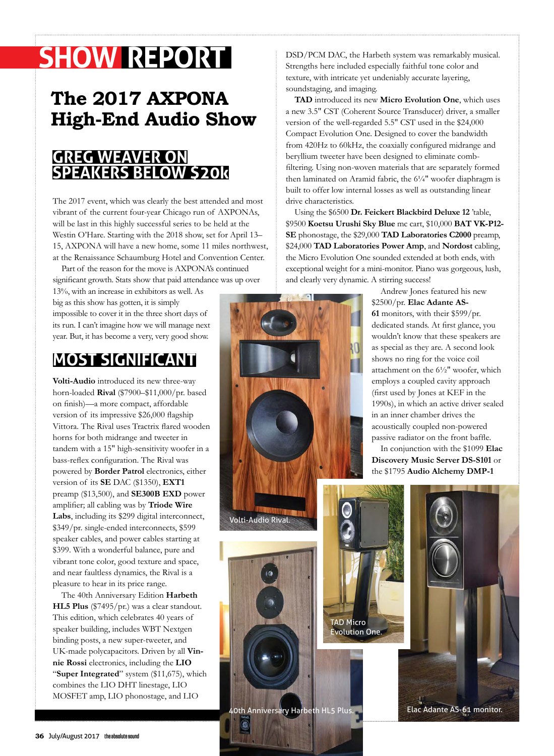# **SHOW REPORT**

# **The 2017 AXPONA High-End Audio Show**

### **GREG WEAVER ON SPEAKERS BELOW \$20k**

The 2017 event, which was clearly the best attended and most vibrant of the current four-year Chicago run of AXPONAs, will be last in this highly successful series to be held at the Westin O'Hare. Starting with the 2018 show, set for April 13– 15, AXPONA will have a new home, some 11 miles northwest, at the Renaissance Schaumburg Hotel and Convention Center.

Part of the reason for the move is AXPONA's continued significant growth. Stats show that paid attendance was up over

13%, with an increase in exhibitors as well. As big as this show has gotten, it is simply impossible to cover it in the three short days of its run. I can't imagine how we will manage next year. But, it has become a very, very good show.

## **MOST SIGNIFICANT**

**Volti-Audio** introduced its new three-way horn-loaded **Rival** (\$7900–\$11,000/pr. based on finish)—a more compact, affordable version of its impressive \$26,000 flagship Vittora. The Rival uses Tractrix flared wooden horns for both midrange and tweeter in tandem with a 15" high-sensitivity woofer in a bass-reflex configuration. The Rival was powered by **Border Patrol** electronics, either version of its **SE** DAC (\$1350), **EXT1** preamp (\$13,500), and **SE300B EXD** power amplifier; all cabling was by **Triode Wire Labs**, including its \$299 digital interconnect, \$349/pr. single-ended interconnects, \$599 speaker cables, and power cables starting at \$399. With a wonderful balance, pure and vibrant tone color, good texture and space, and near faultless dynamics, the Rival is a pleasure to hear in its price range.

The 40th Anniversary Edition **Harbeth HL5 Plus** (\$7495/pr.) was a clear standout. This edition, which celebrates 40 years of speaker building, includes WBT Nextgen binding posts, a new super-tweeter, and UK-made polycapacitors. Driven by all **Vinnie Rossi** electronics, including the **LIO**  "**Super Integrated**" system (\$11,675), which combines the LIO DHT linestage, LIO MOSFET amp, LIO phonostage, and LIO

DSD/PCM DAC, the Harbeth system was remarkably musical. Strengths here included especially faithful tone color and texture, with intricate yet undeniably accurate layering, soundstaging, and imaging.

**TAD** introduced its new **Micro Evolution One**, which uses a new 3.5" CST (Coherent Source Transducer) driver, a smaller version of the well-regarded 5.5" CST used in the \$24,000 Compact Evolution One. Designed to cover the bandwidth from 420Hz to 60kHz, the coaxially configured midrange and beryllium tweeter have been designed to eliminate combfiltering. Using non-woven materials that are separately formed then laminated on Aramid fabric, the 6¼" woofer diaphragm is built to offer low internal losses as well as outstanding linear drive characteristics.

Using the \$6500 **Dr. Feickert Blackbird Deluxe 12** 'table, \$9500 **Koetsu Urushi Sky Blue** mc cart, \$10,000 **BAT VK-P12- SE** phonostage, the \$29,000 **TAD Laboratories C2000** preamp, \$24,000 **TAD Laboratories Power Amp**, and **Nordost** cabling, the Micro Evolution One sounded extended at both ends, with exceptional weight for a mini-monitor. Piano was gorgeous, lush, and clearly very dynamic. A stirring success!



Andrew Jones featured his new \$2500/pr. **Elac Adante AS-61** monitors, with their \$599/pr. dedicated stands. At first glance, you wouldn't know that these speakers are as special as they are. A second look shows no ring for the voice coil attachment on the 6½" woofer, which employs a coupled cavity approach (first used by Jones at KEF in the 1990s), in which an active driver sealed in an inner chamber drives the acoustically coupled non-powered passive radiator on the front baffle.

In conjunction with the \$1099 **Elac Discovery Music Server DS-S101** or the \$1795 **Audio Alchemy DMP-1** 



40th Anniversary Harbeth HL5 Plus. Elac Adante AS-61 monitor.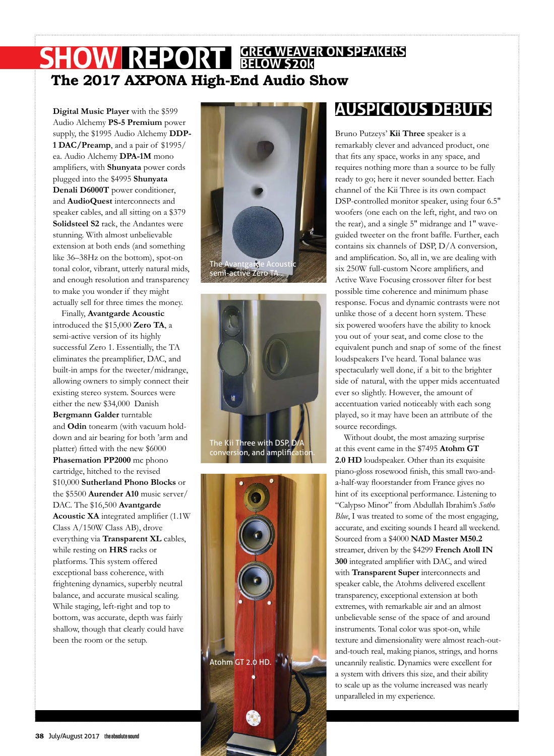### **SHOW REPORT GREG WEAVER ON SPEAKERS The 2017 AXPONA High-End Audio Show BELOW \$20k**

**Digital Music Player** with the \$599 Audio Alchemy **PS-5 Premium** power supply, the \$1995 Audio Alchemy **DDP-1 DAC/Preamp**, and a pair of \$1995/ ea. Audio Alchemy **DPA-1M** mono amplifiers, with **Shunyata** power cords plugged into the \$4995 **Shunyata Denali D6000T** power conditioner, and **AudioQuest** interconnects and speaker cables, and all sitting on a \$379 **Solidsteel S2** rack, the Andantes were stunning. With almost unbelievable extension at both ends (and something like 36–38Hz on the bottom), spot-on tonal color, vibrant, utterly natural mids, and enough resolution and transparency to make you wonder if they might actually sell for three times the money.

Finally, **Avantgarde Acoustic** introduced the \$15,000 **Zero TA**, a semi-active version of its highly successful Zero 1. Essentially, the TA eliminates the preamplifier, DAC, and built-in amps for the tweeter/midrange, allowing owners to simply connect their existing stereo system. Sources were either the new \$34,000 Danish **Bergmann Galder** turntable and **Odin** tonearm (with vacuum holddown and air bearing for both 'arm and platter) fitted with the new \$6000 **Phasemation PP2000** mc phono cartridge, hitched to the revised \$10,000 **Sutherland Phono Blocks** or the \$5500 **Aurender A10** music server/ DAC. The \$16,500 **Avantgarde Acoustic XA** integrated amplifier (1.1W Class A/150W Class AB), drove everything via **Transparent XL** cables, while resting on **HRS** racks or platforms. This system offered exceptional bass coherence, with frightening dynamics, superbly neutral balance, and accurate musical scaling. While staging, left-right and top to bottom, was accurate, depth was fairly shallow, though that clearly could have been the room or the setup.







## **AUSPICIOUS DEBUTS**

Bruno Putzeys' **Kii Three** speaker is a remarkably clever and advanced product, one that fits any space, works in any space, and requires nothing more than a source to be fully ready to go; here it never sounded better. Each channel of the Kii Three is its own compact DSP-controlled monitor speaker, using four 6.5" woofers (one each on the left, right, and two on the rear), and a single 5" midrange and 1" waveguided tweeter on the front baffle. Further, each contains six channels of DSP, D/A conversion, and amplification. So, all in, we are dealing with six 250W full-custom Ncore amplifiers, and Active Wave Focusing crossover filter for best possible time coherence and minimum phase response. Focus and dynamic contrasts were not unlike those of a decent horn system. These six powered woofers have the ability to knock you out of your seat, and come close to the equivalent punch and snap of some of the finest loudspeakers I've heard. Tonal balance was spectacularly well done, if a bit to the brighter side of natural, with the upper mids accentuated ever so slightly. However, the amount of accentuation varied noticeably with each song played, so it may have been an attribute of the source recordings.

Without doubt, the most amazing surprise at this event came in the \$7495 **Atohm GT 2.0 HD** loudspeaker. Other than its exquisite piano-gloss rosewood finish, this small two-anda-half-way floorstander from France gives no hint of its exceptional performance. Listening to "Calypso Minor" from Abdullah Ibrahim's *Sotho Blue*, I was treated to some of the most engaging, accurate, and exciting sounds I heard all weekend. Sourced from a \$4000 **NAD Master M50.2**  streamer, driven by the \$4299 **French Atoll IN 300** integrated amplifier with DAC, and wired with **Transparent Super** interconnects and speaker cable, the Atohms delivered excellent transparency, exceptional extension at both extremes, with remarkable air and an almost unbelievable sense of the space of and around instruments. Tonal color was spot-on, while texture and dimensionality were almost reach-outand-touch real, making pianos, strings, and horns uncannily realistic. Dynamics were excellent for a system with drivers this size, and their ability to scale up as the volume increased was nearly unparalleled in my experience.